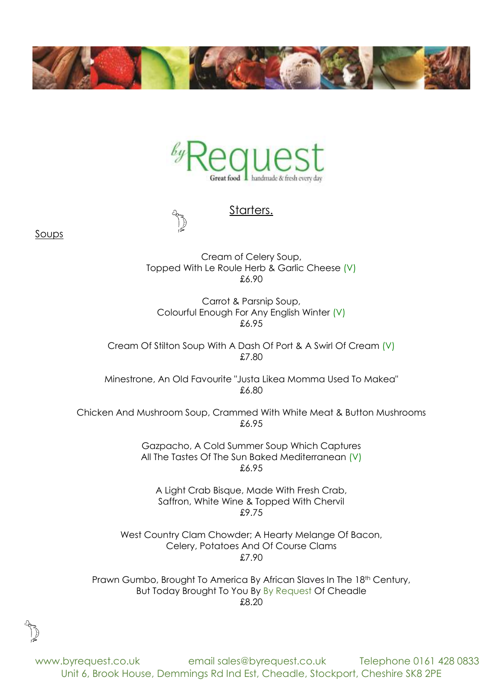



Starters.

Soups

Cream of Celery Soup, Topped With Le Roule Herb & Garlic Cheese (V) £6.90

Carrot & Parsnip Soup, Colourful Enough For Any English Winter (V) £6.95

Cream Of Stilton Soup With A Dash Of Port & A Swirl Of Cream (V) £7.80

Minestrone, An Old Favourite "Justa Likea Momma Used To Makea" £6.80

Chicken And Mushroom Soup, Crammed With White Meat & Button Mushrooms £6.95

> Gazpacho, A Cold Summer Soup Which Captures All The Tastes Of The Sun Baked Mediterranean (V) £6.95

A Light Crab Bisque, Made With Fresh Crab, Saffron, White Wine & Topped With Chervil £9.75

West Country Clam Chowder; A Hearty Melange Of Bacon, Celery, Potatoes And Of Course Clams £7.90

Prawn Gumbo, Brought To America By African Slaves In The 18<sup>th</sup> Century, But Today Brought To You By By Request Of Cheadle £8.20

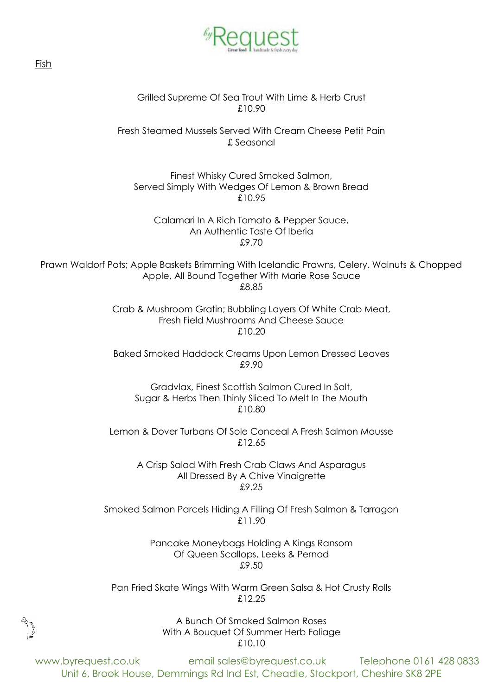

#### Grilled Supreme Of Sea Trout With Lime & Herb Crust £10.90

Fresh Steamed Mussels Served With Cream Cheese Petit Pain £ Seasonal

Finest Whisky Cured Smoked Salmon, Served Simply With Wedges Of Lemon & Brown Bread £10.95

Calamari In A Rich Tomato & Pepper Sauce, An Authentic Taste Of Iberia £9.70

Prawn Waldorf Pots; Apple Baskets Brimming With Icelandic Prawns, Celery, Walnuts & Chopped Apple, All Bound Together With Marie Rose Sauce £8.85

> Crab & Mushroom Gratin; Bubbling Layers Of White Crab Meat, Fresh Field Mushrooms And Cheese Sauce £10.20

> Baked Smoked Haddock Creams Upon Lemon Dressed Leaves £9.90

Gradvlax, Finest Scottish Salmon Cured In Salt, Sugar & Herbs Then Thinly Sliced To Melt In The Mouth £10.80

Lemon & Dover Turbans Of Sole Conceal A Fresh Salmon Mousse £12.65

> A Crisp Salad With Fresh Crab Claws And Asparagus All Dressed By A Chive Vinaigrette £9.25

Smoked Salmon Parcels Hiding A Filling Of Fresh Salmon & Tarragon £11.90

> Pancake Moneybags Holding A Kings Ransom Of Queen Scallops, Leeks & Pernod £9.50

Pan Fried Skate Wings With Warm Green Salsa & Hot Crusty Rolls £12.25

> A Bunch Of Smoked Salmon Roses With A Bouquet Of Summer Herb Foliage £10.10

www.byrequest.co.uk email sales@byrequest.co.uk Telephone 0161 428 0833 Unit 6, Brook House, Demmings Rd Ind Est, Cheadle, Stockport, Cheshire SK8 2PE

Fish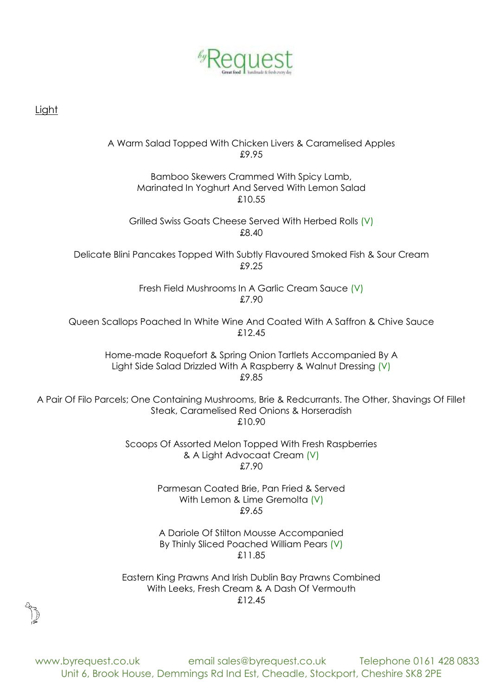

Light

## A Warm Salad Topped With Chicken Livers & Caramelised Apples £9.95

Bamboo Skewers Crammed With Spicy Lamb, Marinated In Yoghurt And Served With Lemon Salad £10.55

Grilled Swiss Goats Cheese Served With Herbed Rolls (V) £8.40

Delicate Blini Pancakes Topped With Subtly Flavoured Smoked Fish & Sour Cream £9.25

> Fresh Field Mushrooms In A Garlic Cream Sauce (V) £7.90

Queen Scallops Poached In White Wine And Coated With A Saffron & Chive Sauce £12.45

Home-made Roquefort & Spring Onion Tartlets Accompanied By A Light Side Salad Drizzled With A Raspberry & Walnut Dressing (V) £9.85

A Pair Of Filo Parcels; One Containing Mushrooms, Brie & Redcurrants. The Other, Shavings Of Fillet Steak, Caramelised Red Onions & Horseradish £10.90

> Scoops Of Assorted Melon Topped With Fresh Raspberries & A Light Advocaat Cream (V) £7.90

> > Parmesan Coated Brie, Pan Fried & Served With Lemon & Lime Gremolta (V) £9.65

> > A Dariole Of Stilton Mousse Accompanied By Thinly Sliced Poached William Pears (V) £11.85

Eastern King Prawns And Irish Dublin Bay Prawns Combined With Leeks, Fresh Cream & A Dash Of Vermouth £12.45

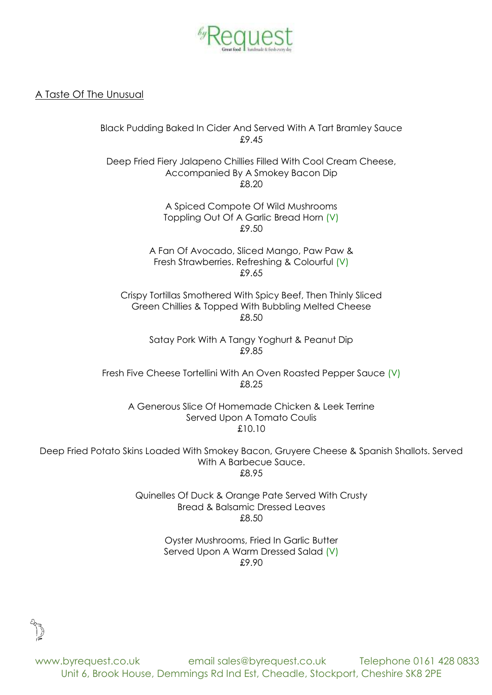

## A Taste Of The Unusual

Black Pudding Baked In Cider And Served With A Tart Bramley Sauce £9.45

Deep Fried Fiery Jalapeno Chillies Filled With Cool Cream Cheese, Accompanied By A Smokey Bacon Dip £8.20

> A Spiced Compote Of Wild Mushrooms Toppling Out Of A Garlic Bread Horn (V) £9.50

A Fan Of Avocado, Sliced Mango, Paw Paw & Fresh Strawberries. Refreshing & Colourful (V) £9.65

Crispy Tortillas Smothered With Spicy Beef, Then Thinly Sliced Green Chillies & Topped With Bubbling Melted Cheese £8.50

> Satay Pork With A Tangy Yoghurt & Peanut Dip £9.85

Fresh Five Cheese Tortellini With An Oven Roasted Pepper Sauce (V) £8.25

A Generous Slice Of Homemade Chicken & Leek Terrine Served Upon A Tomato Coulis £10.10

Deep Fried Potato Skins Loaded With Smokey Bacon, Gruyere Cheese & Spanish Shallots. Served With A Barbecue Sauce. £8.95

> Quinelles Of Duck & Orange Pate Served With Crusty Bread & Balsamic Dressed Leaves £8.50

> > Oyster Mushrooms, Fried In Garlic Butter Served Upon A Warm Dressed Salad (V) £9.90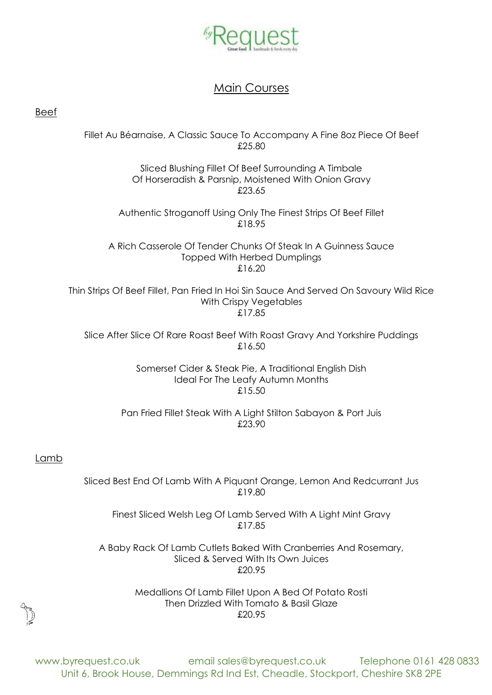

# Main Courses

#### Beef

Fillet Au Béarnaise, A Classic Sauce To Accompany A Fine 8oz Piece Of Beef £25.80

> Sliced Blushing Fillet Of Beef Surrounding A Timbale Of Horseradish & Parsnip, Moistened With Onion Gravy £23.65

Authentic Stroganoff Using Only The Finest Strips Of Beef Fillet £18.95

A Rich Casserole Of Tender Chunks Of Steak In A Guinness Sauce Topped With Herbed Dumplings £16.20

Thin Strips Of Beef Fillet, Pan Fried In Hoi Sin Sauce And Served On Savoury Wild Rice With Crispy Vegetables £17.85

Slice After Slice Of Rare Roast Beef With Roast Gravy And Yorkshire Puddings £16.50

> Somerset Cider & Steak Pie, A Traditional English Dish Ideal For The Leafy Autumn Months £15.50

Pan Fried Fillet Steak With A Light Stilton Sabayon & Port Juis £23.90

#### Lamb

Sliced Best End Of Lamb With A Piquant Orange, Lemon And Redcurrant Jus £19.80

Finest Sliced Welsh Leg Of Lamb Served With A Light Mint Gravy £17.85

A Baby Rack Of Lamb Cutlets Baked With Cranberries And Rosemary, Sliced & Served With Its Own Juices £20.95

> Medallions Of Lamb Fillet Upon A Bed Of Potato Rosti Then Drizzled With Tomato & Basil Glaze £20.95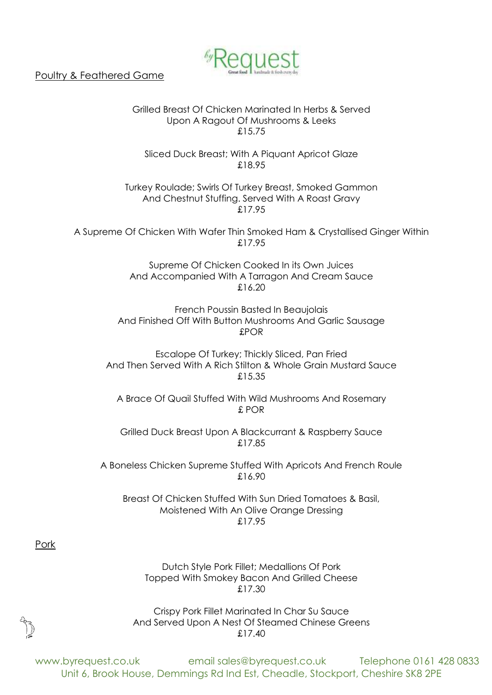

Poultry & Feathered Game

#### Grilled Breast Of Chicken Marinated In Herbs & Served Upon A Ragout Of Mushrooms & Leeks £15.75

Sliced Duck Breast; With A Piquant Apricot Glaze £18.95

Turkey Roulade; Swirls Of Turkey Breast, Smoked Gammon And Chestnut Stuffing. Served With A Roast Gravy £17.95

A Supreme Of Chicken With Wafer Thin Smoked Ham & Crystallised Ginger Within £17.95

> Supreme Of Chicken Cooked In its Own Juices And Accompanied With A Tarragon And Cream Sauce £16.20

French Poussin Basted In Beaujolais And Finished Off With Button Mushrooms And Garlic Sausage £POR

Escalope Of Turkey; Thickly Sliced, Pan Fried And Then Served With A Rich Stilton & Whole Grain Mustard Sauce £15.35

A Brace Of Quail Stuffed With Wild Mushrooms And Rosemary £ POR

Grilled Duck Breast Upon A Blackcurrant & Raspberry Sauce £17.85

A Boneless Chicken Supreme Stuffed With Apricots And French Roule £16.90

Breast Of Chicken Stuffed With Sun Dried Tomatoes & Basil, Moistened With An Olive Orange Dressing £17.95

Pork

Dutch Style Pork Fillet; Medallions Of Pork Topped With Smokey Bacon And Grilled Cheese £17.30

Crispy Pork Fillet Marinated In Char Su Sauce And Served Upon A Nest Of Steamed Chinese Greens £17.40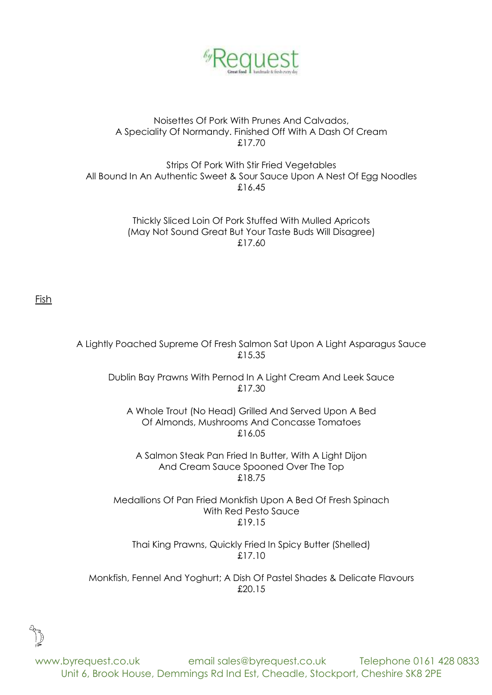

#### Noisettes Of Pork With Prunes And Calvados, A Speciality Of Normandy. Finished Off With A Dash Of Cream £17.70

Strips Of Pork With Stir Fried Vegetables All Bound In An Authentic Sweet & Sour Sauce Upon A Nest Of Egg Noodles £16.45

> Thickly Sliced Loin Of Pork Stuffed With Mulled Apricots (May Not Sound Great But Your Taste Buds Will Disagree) £17.60

Fish

A Lightly Poached Supreme Of Fresh Salmon Sat Upon A Light Asparagus Sauce £15.35

Dublin Bay Prawns With Pernod In A Light Cream And Leek Sauce £17.30

A Whole Trout (No Head) Grilled And Served Upon A Bed Of Almonds, Mushrooms And Concasse Tomatoes £16.05

A Salmon Steak Pan Fried In Butter, With A Light Dijon And Cream Sauce Spooned Over The Top £18.75

Medallions Of Pan Fried Monkfish Upon A Bed Of Fresh Spinach With Red Pesto Sauce £19.15

Thai King Prawns, Quickly Fried In Spicy Butter (Shelled) £17.10

Monkfish, Fennel And Yoghurt; A Dish Of Pastel Shades & Delicate Flavours £20.15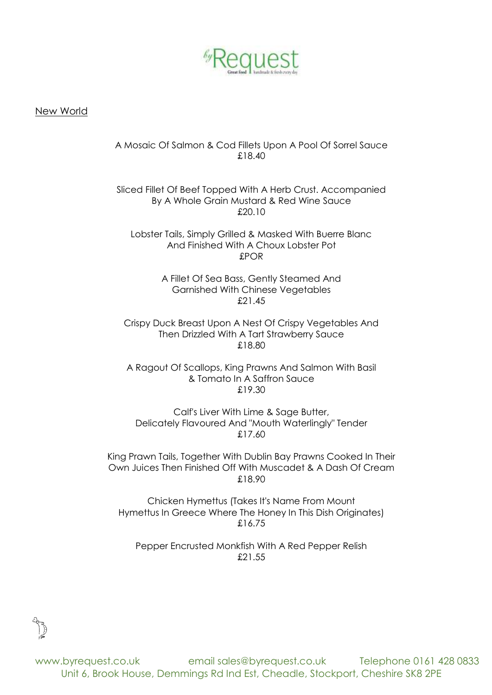

New World

## A Mosaic Of Salmon & Cod Fillets Upon A Pool Of Sorrel Sauce £18.40

Sliced Fillet Of Beef Topped With A Herb Crust. Accompanied By A Whole Grain Mustard & Red Wine Sauce £20.10

Lobster Tails, Simply Grilled & Masked With Buerre Blanc And Finished With A Choux Lobster Pot £POR

> A Fillet Of Sea Bass, Gently Steamed And Garnished With Chinese Vegetables £21.45

Crispy Duck Breast Upon A Nest Of Crispy Vegetables And Then Drizzled With A Tart Strawberry Sauce £18.80

A Ragout Of Scallops, King Prawns And Salmon With Basil & Tomato In A Saffron Sauce £19.30

Calf's Liver With Lime & Sage Butter, Delicately Flavoured And "Mouth Waterlingly" Tender £17.60

King Prawn Tails, Together With Dublin Bay Prawns Cooked In Their Own Juices Then Finished Off With Muscadet & A Dash Of Cream £18.90

Chicken Hymettus (Takes It's Name From Mount Hymettus In Greece Where The Honey In This Dish Originates) £16.75

Pepper Encrusted Monkfish With A Red Pepper Relish £21.55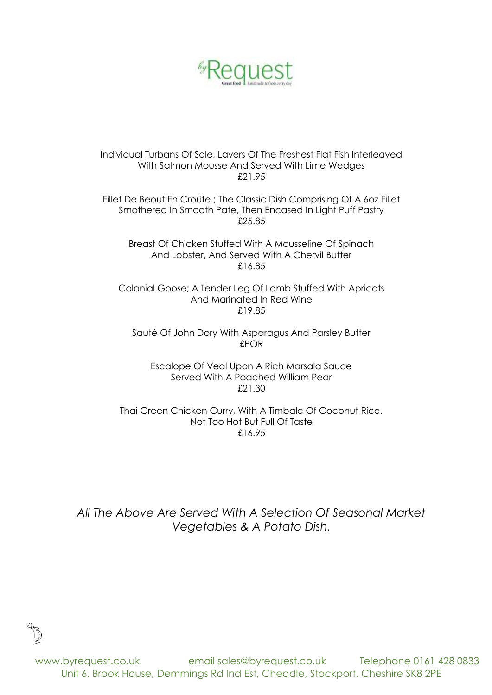

Individual Turbans Of Sole, Layers Of The Freshest Flat Fish Interleaved With Salmon Mousse And Served With Lime Wedges £21.95

Fillet De Beouf En Croûte ; The Classic Dish Comprising Of A 6oz Fillet Smothered In Smooth Pate, Then Encased In Light Puff Pastry £25.85

Breast Of Chicken Stuffed With A Mousseline Of Spinach And Lobster, And Served With A Chervil Butter £16.85

Colonial Goose; A Tender Leg Of Lamb Stuffed With Apricots And Marinated In Red Wine £19.85

Sauté Of John Dory With Asparagus And Parsley Butter £POR

Escalope Of Veal Upon A Rich Marsala Sauce Served With A Poached William Pear £21.30

Thai Green Chicken Curry, With A Timbale Of Coconut Rice. Not Too Hot But Full Of Taste £16.95

*All The Above Are Served With A Selection Of Seasonal Market Vegetables & A Potato Dish.*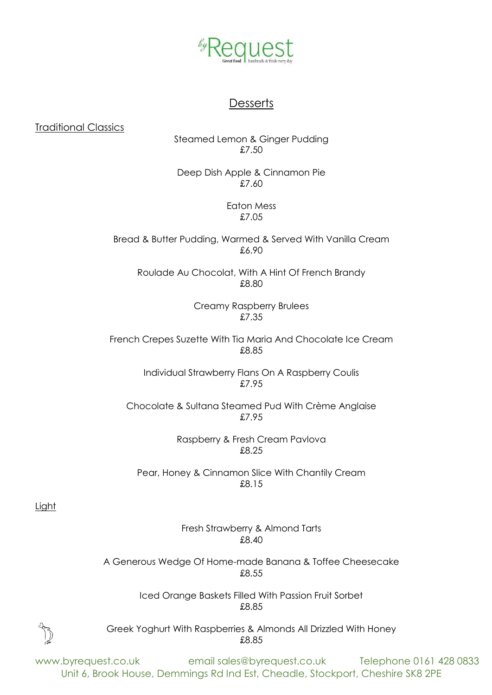

# **Desserts**

Traditional Classics

Steamed Lemon & Ginger Pudding £7.50

Deep Dish Apple & Cinnamon Pie £7.60

> Eaton Mess £7.05

Bread & Butter Pudding, Warmed & Served With Vanilla Cream £6.90

Roulade Au Chocolat, With A Hint Of French Brandy £8.80

> Creamy Raspberry Brulees £7.35

French Crepes Suzette With Tia Maria And Chocolate Ice Cream £8.85

> Individual Strawberry Flans On A Raspberry Coulis £7.95

Chocolate & Sultana Steamed Pud With Crème Anglaise £7.95

> Raspberry & Fresh Cream Pavlova £8.25

Pear, Honey & Cinnamon Slice With Chantily Cream £8.15

**Light** 

Fresh Strawberry & Almond Tarts £8.40

A Generous Wedge Of Home-made Banana & Toffee Cheesecake £8.55

> Iced Orange Baskets Filled With Passion Fruit Sorbet £8.85

Greek Yoghurt With Raspberries & Almonds All Drizzled With Honey £8.85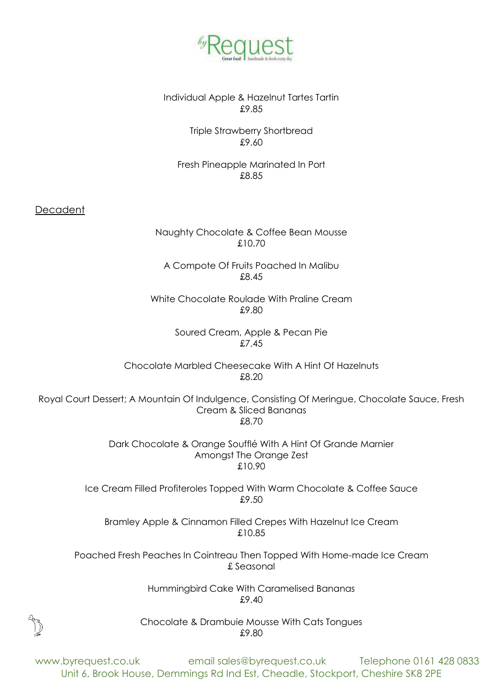

## Individual Apple & Hazelnut Tartes Tartin £9.85

Triple Strawberry Shortbread £9.60

Fresh Pineapple Marinated In Port £8.85

Decadent

Naughty Chocolate & Coffee Bean Mousse £10.70

A Compote Of Fruits Poached In Malibu £8.45

White Chocolate Roulade With Praline Cream £9.80

> Soured Cream, Apple & Pecan Pie £7.45

Chocolate Marbled Cheesecake With A Hint Of Hazelnuts £8.20

Royal Court Dessert; A Mountain Of Indulgence, Consisting Of Meringue, Chocolate Sauce, Fresh Cream & Sliced Bananas £8.70

> Dark Chocolate & Orange Soufflé With A Hint Of Grande Marnier Amongst The Orange Zest £10.90

Ice Cream Filled Profiteroles Topped With Warm Chocolate & Coffee Sauce £9.50

Bramley Apple & Cinnamon Filled Crepes With Hazelnut Ice Cream £10.85

Poached Fresh Peaches In Cointreau Then Topped With Home-made Ice Cream £ Seasonal

> Hummingbird Cake With Caramelised Bananas £9.40

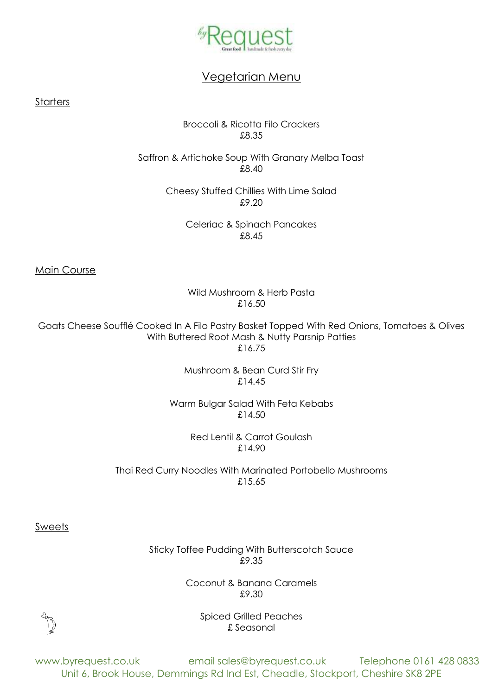

# Vegetarian Menu

**Starters** 

Broccoli & Ricotta Filo Crackers £8.35

Saffron & Artichoke Soup With Granary Melba Toast £8.40

> Cheesy Stuffed Chillies With Lime Salad £9.20

> > Celeriac & Spinach Pancakes £8.45

Main Course

Wild Mushroom & Herb Pasta £16.50

Goats Cheese Soufflé Cooked In A Filo Pastry Basket Topped With Red Onions, Tomatoes & Olives With Buttered Root Mash & Nutty Parsnip Patties £16.75

> Mushroom & Bean Curd Stir Fry  $£14.45$

Warm Bulgar Salad With Feta Kebabs £14.50

> Red Lentil & Carrot Goulash £14.90

Thai Red Curry Noodles With Marinated Portobello Mushrooms £15.65

**Sweets** 

Sticky Toffee Pudding With Butterscotch Sauce £9.35

> Coconut & Banana Caramels £9.30

> > Spiced Grilled Peaches £ Seasonal